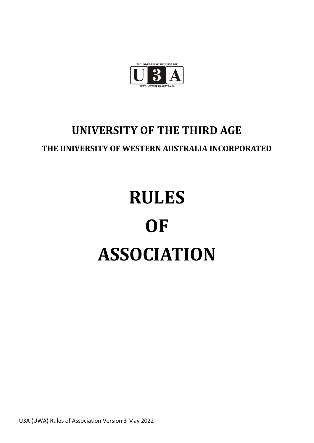

# **UNIVERSITY OF THE THIRD AGE**

# **THE UNIVERSITY OF WESTERN AUSTRALIA INCORPORATED**

# **RULES OF ASSOCIATION**

U3A (UWA) Rules of Association Version 3 May 2022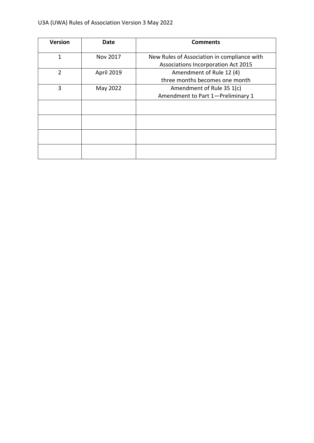| <b>Version</b> | Date       | <b>Comments</b>                             |
|----------------|------------|---------------------------------------------|
| 1              | Nov 2017   | New Rules of Association in compliance with |
|                |            | Associations Incorporation Act 2015         |
| $\overline{2}$ | April 2019 | Amendment of Rule 12 (4)                    |
|                |            | three months becomes one month              |
| 3              | May 2022   | Amendment of Rule 35 1(c)                   |
|                |            | Amendment to Part 1-Preliminary 1           |
|                |            |                                             |
|                |            |                                             |
|                |            |                                             |
|                |            |                                             |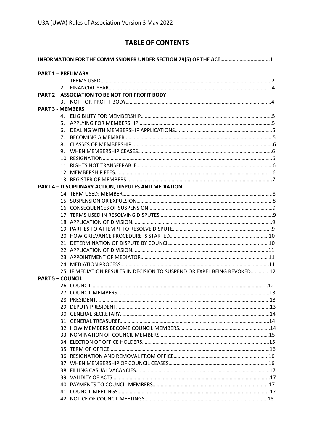# **TABLE OF CONTENTS**

| INFORMATION FOR THE COMMISSIONER UNDER SECTION 29(5) OF THE ACT1         |  |
|--------------------------------------------------------------------------|--|
| <b>PART 1 - PRELIMARY</b>                                                |  |
|                                                                          |  |
|                                                                          |  |
| <b>PART 2 - ASSOCIATION TO BE NOT FOR PROFIT BODY</b>                    |  |
|                                                                          |  |
| <b>PART 3 - MEMBERS</b>                                                  |  |
|                                                                          |  |
| 5.                                                                       |  |
| 6.                                                                       |  |
| 7 <sub>1</sub>                                                           |  |
| 8.                                                                       |  |
| 9.                                                                       |  |
|                                                                          |  |
|                                                                          |  |
|                                                                          |  |
|                                                                          |  |
| PART 4 - DISCIPLINARY ACTION, DISPUTES AND MEDIATION                     |  |
|                                                                          |  |
|                                                                          |  |
|                                                                          |  |
|                                                                          |  |
|                                                                          |  |
|                                                                          |  |
|                                                                          |  |
|                                                                          |  |
|                                                                          |  |
|                                                                          |  |
|                                                                          |  |
| 25. IF MEDIATION RESULTS IN DECISION TO SUSPEND OR EXPEL BEING REVOKED12 |  |
| <b>PART 5 - COUNCIL</b>                                                  |  |
|                                                                          |  |
|                                                                          |  |
|                                                                          |  |
|                                                                          |  |
|                                                                          |  |
|                                                                          |  |
|                                                                          |  |
|                                                                          |  |
|                                                                          |  |
|                                                                          |  |
|                                                                          |  |
|                                                                          |  |
|                                                                          |  |
|                                                                          |  |
|                                                                          |  |
|                                                                          |  |
|                                                                          |  |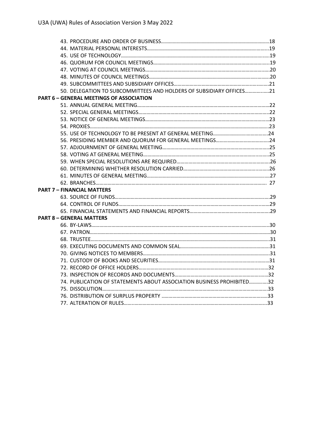| 50. DELEGATION TO SUBCOMMITTEES AND HOLDERS OF SUBSIDIARY OFFICES21   |  |
|-----------------------------------------------------------------------|--|
| <b>PART 6 - GENERAL MEETINGS OF ASSOCIATION</b>                       |  |
|                                                                       |  |
|                                                                       |  |
|                                                                       |  |
|                                                                       |  |
|                                                                       |  |
|                                                                       |  |
|                                                                       |  |
|                                                                       |  |
|                                                                       |  |
|                                                                       |  |
|                                                                       |  |
|                                                                       |  |
| <b>PART 7 - FINANCIAL MATTERS</b>                                     |  |
|                                                                       |  |
|                                                                       |  |
|                                                                       |  |
| <b>PART 8 - GENERAL MATTERS</b>                                       |  |
|                                                                       |  |
|                                                                       |  |
|                                                                       |  |
|                                                                       |  |
|                                                                       |  |
|                                                                       |  |
|                                                                       |  |
|                                                                       |  |
| 74. PUBLICATION OF STATEMENTS ABOUT ASSOCIATION BUSINESS PROHIBITED32 |  |
|                                                                       |  |
|                                                                       |  |
|                                                                       |  |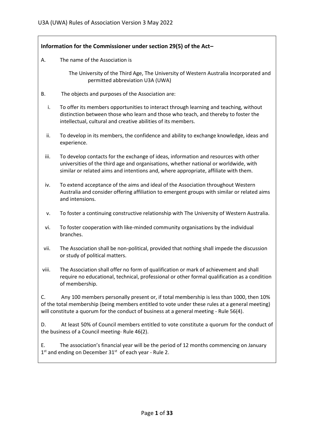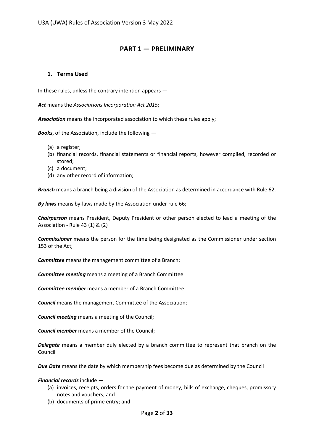# **PART 1 — PRELIMINARY**

# **1. Terms Used**

In these rules, unless the contrary intention appears —

*Act* means the *Associations Incorporation Act 2015*;

*Association* means the incorporated association to which these rules apply;

*Books*, of the Association, include the following —

- (a) a register;
- (b) financial records, financial statements or financial reports, however compiled, recorded or stored;
- (c) a document;
- (d) any other record of information;

*Branch* means a branch being a division of the Association as determined in accordance with Rule 62.

*By laws* means by-laws made by the Association under rule 66;

*Chairperson* means President, Deputy President or other person elected to lead a meeting of the Association - Rule 43 (1) & (2)

*Commissioner* means the person for the time being designated as the Commissioner under section 153 of the Act;

*Committee* means the management committee of a Branch;

*Committee meeting* means a meeting of a Branch Committee

*Committee member* means a member of a Branch Committee

*Council* means the management Committee of the Association;

*Council meeting* means a meeting of the Council;

*Council member* means a member of the Council;

*Delegate* means a member duly elected by a branch committee to represent that branch on the Council

*Due Date* means the date by which membership fees become due as determined by the Council

### *Financial records* include —

- (a) invoices, receipts, orders for the payment of money, bills of exchange, cheques, promissory notes and vouchers; and
- (b) documents of prime entry; and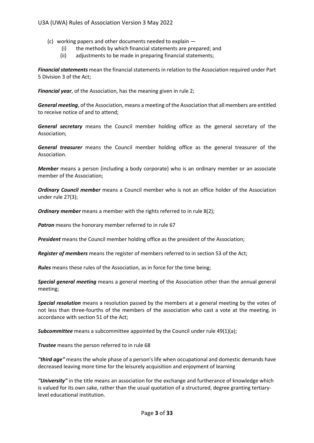- (c) working papers and other documents needed to explain
	- (i) the methods by which financial statements are prepared; and
	- (ii) adjustments to be made in preparing financial statements;

*Financial statements* mean the financial statements in relation to the Association required under Part 5 Division 3 of the Act;

*Financial year*, of the Association, has the meaning given in rule 2;

*General meeting*, of the Association, means a meeting of the Association that all members are entitled to receive notice of and to attend;

*General secretary* means the Council member holding office as the general secretary of the Association;

*General treasurer* means the Council member holding office as the general treasurer of the Association.

*Member* means a person (including a body corporate) who is an ordinary member or an associate member of the Association;

*Ordinary Council member* means a Council member who is not an office holder of the Association under rule 27(3);

*Ordinary member* means a member with the rights referred to in rule 8(2);

*Patron* means the honorary member referred to in rule 67

*President* means the Council member holding office as the president of the Association;

*Register of members* means the register of members referred to in section 53 of the Act;

*Rules* means these rules of the Association, as in force for the time being;

*Special general meeting* means a general meeting of the Association other than the annual general meeting;

*Special resolution* means a resolution passed by the members at a general meeting by the votes of not less than three-fourths of the members of the association who cast a vote at the meeting. in accordance with section 51 of the Act;

**Subcommittee** means a subcommittee appointed by the Council under rule 49(1)(a):

*Trustee* means the person referred to in rule 68

*"third age"* means the whole phase of a person's life when occupational and domestic demands have decreased leaving more time for the leisurely acquisition and enjoyment of learning

*"University"* in the title means an association for the exchange and furtherance of knowledge which is valued for its own sake, rather than the usual quotation of a structured, degree granting tertiarylevel educational institution.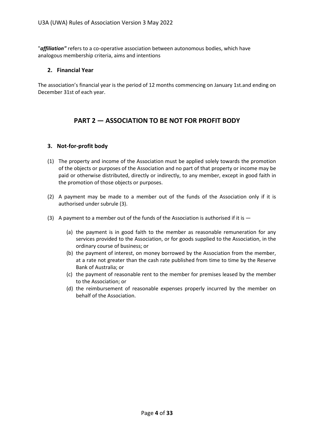"*affiliation"* refers to a co-operative association between autonomous bodies, which have analogous membership criteria, aims and intentions

# **2. Financial Year**

The association's financial year is the period of 12 months commencing on January 1st.and ending on December 31st of each year.

# **PART 2 — ASSOCIATION TO BE NOT FOR PROFIT BODY**

# **3. Not-for-profit body**

- (1) The property and income of the Association must be applied solely towards the promotion of the objects or purposes of the Association and no part of that property or income may be paid or otherwise distributed, directly or indirectly, to any member, except in good faith in the promotion of those objects or purposes.
- (2) A payment may be made to a member out of the funds of the Association only if it is authorised under subrule (3).
- (3) A payment to a member out of the funds of the Association is authorised if it is  $-$ 
	- (a) the payment is in good faith to the member as reasonable remuneration for any services provided to the Association, or for goods supplied to the Association, in the ordinary course of business; or
	- (b) the payment of interest, on money borrowed by the Association from the member, at a rate not greater than the cash rate published from time to time by the Reserve Bank of Australia; or
	- (c) the payment of reasonable rent to the member for premises leased by the member to the Association; or
	- (d) the reimbursement of reasonable expenses properly incurred by the member on behalf of the Association.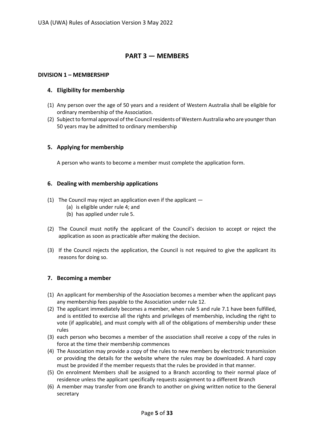# **PART 3 — MEMBERS**

# **DIVISION 1 – MEMBERSHIP**

# **4. Eligibility for membership**

- (1) Any person over the age of 50 years and a resident of Western Australia shall be eligible for ordinary membership of the Association.
- (2) Subject to formal approval of the Council residents of Western Australia who are younger than 50 years may be admitted to ordinary membership

# **5. Applying for membership**

A person who wants to become a member must complete the application form.

# **6. Dealing with membership applications**

- (1) The Council may reject an application even if the applicant  $-$ 
	- (a) is eligible under rule 4; and
	- (b) has applied under rule 5.
- (2) The Council must notify the applicant of the Council's decision to accept or reject the application as soon as practicable after making the decision.
- (3) If the Council rejects the application, the Council is not required to give the applicant its reasons for doing so.

# **7. Becoming a member**

- (1) An applicant for membership of the Association becomes a member when the applicant pays any membership fees payable to the Association under rule 12.
- (2) The applicant immediately becomes a member, when rule 5 and rule 7.1 have been fulfilled, and is entitled to exercise all the rights and privileges of membership, including the right to vote (if applicable), and must comply with all of the obligations of membership under these rules
- (3) each person who becomes a member of the association shall receive a copy of the rules in force at the time their membership commences
- (4) The Association may provide a copy of the rules to new members by electronic transmission or providing the details for the website where the rules may be downloaded. A hard copy must be provided if the member requests that the rules be provided in that manner.
- (5) On enrolment Members shall be assigned to a Branch according to their normal place of residence unless the applicant specifically requests assignment to a different Branch
- (6) A member may transfer from one Branch to another on giving written notice to the General secretary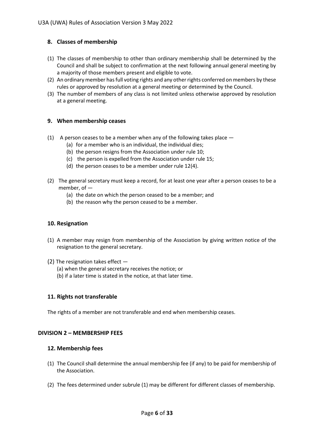# **8. Classes of membership**

- (1) The classes of membership to other than ordinary membership shall be determined by the Council and shall be subject to confirmation at the next following annual general meeting by a majority of those members present and eligible to vote.
- (2) An ordinary member has full voting rights and any other rights conferred on members by these rules or approved by resolution at a general meeting or determined by the Council.
- (3) The number of members of any class is not limited unless otherwise approved by resolution at a general meeting.

# **9. When membership ceases**

- (1) A person ceases to be a member when any of the following takes place  $-$ 
	- (a) for a member who is an individual, the individual dies;
	- (b) the person resigns from the Association under rule 10;
	- (c) the person is expelled from the Association under rule 15;
	- (d) the person ceases to be a member under rule 12(4).
- (2) The general secretary must keep a record, for at least one year after a person ceases to be a member, of —
	- (a) the date on which the person ceased to be a member; and
	- (b) the reason why the person ceased to be a member.

# **10. Resignation**

- (1) A member may resign from membership of the Association by giving written notice of the resignation to the general secretary.
- (2) The resignation takes effect
	- (a) when the general secretary receives the notice; or
	- (b) if a later time is stated in the notice, at that later time.

# **11. Rights not transferable**

The rights of a member are not transferable and end when membership ceases.

# **DIVISION 2 – MEMBERSHIP FEES**

# **12. Membership fees**

- (1) The Council shall determine the annual membership fee (if any) to be paid for membership of the Association.
- (2) The fees determined under subrule (1) may be different for different classes of membership.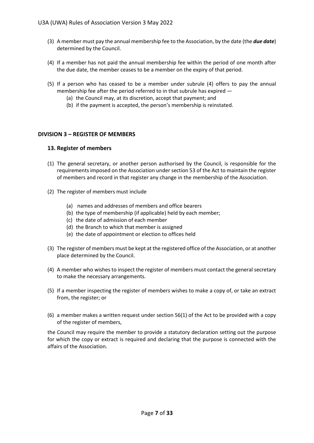- (3) A member must pay the annual membership fee to the Association, by the date (the *due date*) determined by the Council.
- (4) If a member has not paid the annual membership fee within the period of one month after the due date, the member ceases to be a member on the expiry of that period.
- (5) If a person who has ceased to be a member under subrule (4) offers to pay the annual membership fee after the period referred to in that subrule has expired —
	- (a) the Council may, at its discretion, accept that payment; and
	- (b) if the payment is accepted, the person's membership is reinstated.

# **DIVISION 3 – REGISTER OF MEMBERS**

# **13. Register of members**

- (1) The general secretary, or another person authorised by the Council, is responsible for the requirements imposed on the Association under section 53 of the Act to maintain the register of members and record in that register any change in the membership of the Association.
- (2) The register of members must include
	- (a) names and addresses of members and office bearers
	- (b) the type of membership (if applicable) held by each member;
	- (c) the date of admission of each member
	- (d) the Branch to which that member is assigned
	- (e) the date of appointment or election to offices held
- (3) The register of members must be kept at the registered office of the Association, or at another place determined by the Council.
- (4) A member who wishes to inspect the register of members must contact the general secretary to make the necessary arrangements.
- (5) If a member inspecting the register of members wishes to make a copy of, or take an extract from, the register; or
- (6) a member makes a written request under section 56(1) of the Act to be provided with a copy of the register of members,

the Council may require the member to provide a statutory declaration setting out the purpose for which the copy or extract is required and declaring that the purpose is connected with the affairs of the Association.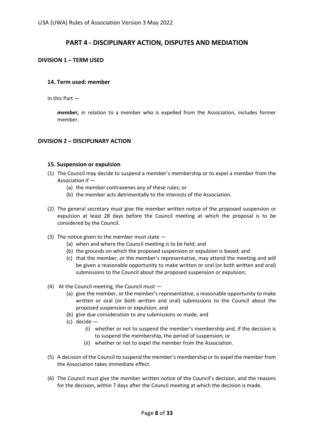# **PART 4 - DISCIPLINARY ACTION, DISPUTES AND MEDIATION**

# **DIVISION 1 – TERM USED**

# **14. Term used: member**

In this Part —

*member,* in relation to a member who is expelled from the Association, includes former member.

# **DIVISION 2 – DISCIPLINARY ACTION**

### **15. Suspension or expulsion**

- (1) The Council may decide to suspend a member's membership or to expel a member from the Association if —
	- (a) the member contravenes any of these rules; or
	- (b) the member acts detrimentally to the interests of the Association.
- (2) The general secretary must give the member written notice of the proposed suspension or expulsion at least 28 days before the Council meeting at which the proposal is to be considered by the Council.
- (3) The notice given to the member must state
	- (a) when and where the Council meeting is to be held; and
	- (b) the grounds on which the proposed suspension or expulsion is based; and
	- (c) that the member, or the member's representative, may attend the meeting and will be given a reasonable opportunity to make written or oral (or both written and oral) submissions to the Council about the proposed suspension or expulsion;
- (4) At the Council meeting, the Council must
	- (a) give the member, or the member's representative, a reasonable opportunity to make written or oral (or both written and oral) submissions to the Council about the proposed suspension or expulsion; and
	- (b) give due consideration to any submissions so made; and
	- (c) decide
		- (i) whether or not to suspend the member's membership and, if the decision is to suspend the membership, the period of suspension; or
		- (ii) whether or not to expel the member from the Association.
- (5) A decision of the Council to suspend the member's membership or to expel the member from the Association takes immediate effect.
- (6) The Council must give the member written notice of the Council's decision, and the reasons for the decision, within 7 days after the Council meeting at which the decision is made.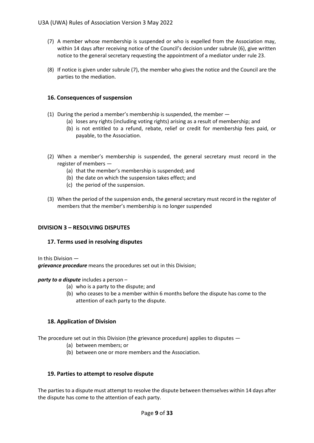- (7) A member whose membership is suspended or who is expelled from the Association may, within 14 days after receiving notice of the Council's decision under subrule (6), give written notice to the general secretary requesting the appointment of a mediator under rule 23.
- (8) If notice is given under subrule (7), the member who gives the notice and the Council are the parties to the mediation.

# **16. Consequences of suspension**

- (1) During the period a member's membership is suspended, the member
	- (a) loses any rights (including voting rights) arising as a result of membership; and
	- (b) is not entitled to a refund, rebate, relief or credit for membership fees paid, or payable, to the Association.
- (2) When a member's membership is suspended, the general secretary must record in the register of members —
	- (a) that the member's membership is suspended; and
	- (b) the date on which the suspension takes effect; and
	- (c) the period of the suspension.
- (3) When the period of the suspension ends, the general secretary must record in the register of members that the member's membership is no longer suspended

# **DIVISION 3 – RESOLVING DISPUTES**

### **17. Terms used in resolving disputes**

In this Division —

*grievance procedure* means the procedures set out in this Division;

### *party to a dispute* includes a person –

- (a) who is a party to the dispute; and
- (b) who ceases to be a member within 6 months before the dispute has come to the attention of each party to the dispute.

# **18. Application of Division**

The procedure set out in this Division (the grievance procedure) applies to disputes —

- (a) between members; or
- (b) between one or more members and the Association.

# **19. Parties to attempt to resolve dispute**

The parties to a dispute must attempt to resolve the dispute between themselves within 14 days after the dispute has come to the attention of each party.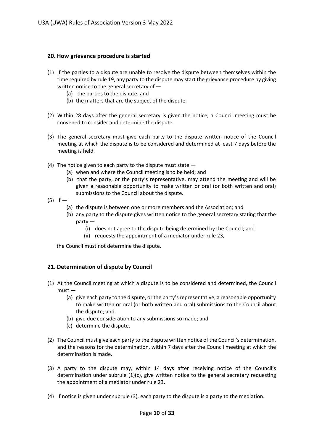# **20. How grievance procedure is started**

- (1) If the parties to a dispute are unable to resolve the dispute between themselves within the time required by rule 19, any party to the dispute may start the grievance procedure by giving written notice to the general secretary of -
	- (a) the parties to the dispute; and
	- (b) the matters that are the subject of the dispute.
- (2) Within 28 days after the general secretary is given the notice, a Council meeting must be convened to consider and determine the dispute.
- (3) The general secretary must give each party to the dispute written notice of the Council meeting at which the dispute is to be considered and determined at least 7 days before the meeting is held.
- (4) The notice given to each party to the dispute must state  $-$ 
	- (a) when and where the Council meeting is to be held; and
	- (b) that the party, or the party's representative, may attend the meeting and will be given a reasonable opportunity to make written or oral (or both written and oral) submissions to the Council about the dispute.
- $(5)$  If  $-$ 
	- (a) the dispute is between one or more members and the Association; and
	- (b) any party to the dispute gives written notice to the general secretary stating that the party —
		- (i) does not agree to the dispute being determined by the Council; and
		- (ii) requests the appointment of a mediator under rule 23,

the Council must not determine the dispute.

# **21. Determination of dispute by Council**

- (1) At the Council meeting at which a dispute is to be considered and determined, the Council must —
	- (a) give each party to the dispute, or the party's representative, a reasonable opportunity to make written or oral (or both written and oral) submissions to the Council about the dispute; and
	- (b) give due consideration to any submissions so made; and
	- (c) determine the dispute.
- (2) The Council must give each party to the dispute written notice of the Council's determination, and the reasons for the determination, within 7 days after the Council meeting at which the determination is made.
- (3) A party to the dispute may, within 14 days after receiving notice of the Council's determination under subrule  $(1)(c)$ , give written notice to the general secretary requesting the appointment of a mediator under rule 23.
- (4) If notice is given under subrule (3), each party to the dispute is a party to the mediation.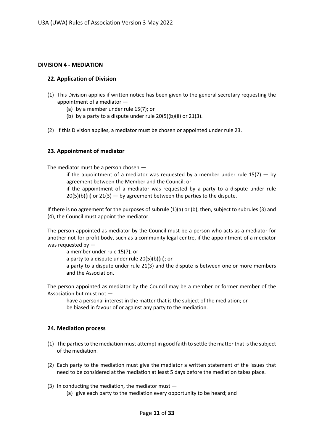# **DIVISION 4 - MEDIATION**

# **22. Application of Division**

- (1) This Division applies if written notice has been given to the general secretary requesting the appointment of a mediator —
	- (a) by a member under rule 15(7); or
	- (b) by a party to a dispute under rule  $20(5)(b)(ii)$  or  $21(3)$ .
- (2) If this Division applies, a mediator must be chosen or appointed under rule 23.

# **23. Appointment of mediator**

The mediator must be a person chosen —

if the appointment of a mediator was requested by a member under rule  $15(7) -$  by agreement between the Member and the Council; or

if the appointment of a mediator was requested by a party to a dispute under rule  $20(5)(b)(ii)$  or  $21(3)$  — by agreement between the parties to the dispute.

If there is no agreement for the purposes of subrule (1)(a) or (b), then, subject to subrules (3) and (4), the Council must appoint the mediator.

The person appointed as mediator by the Council must be a person who acts as a mediator for another not-for-profit body, such as a community legal centre, if the appointment of a mediator was requested by —

a member under rule 15(7); or

a party to a dispute under rule 20(5)(b)(ii); or

a party to a dispute under rule 21(3) and the dispute is between one or more members and the Association.

The person appointed as mediator by the Council may be a member or former member of the Association but must not —

have a personal interest in the matter that is the subject of the mediation; or be biased in favour of or against any party to the mediation.

# **24. Mediation process**

- (1) The parties to the mediation must attempt in good faith to settle the matter that is the subject of the mediation.
- (2) Each party to the mediation must give the mediator a written statement of the issues that need to be considered at the mediation at least 5 days before the mediation takes place.
- (3) In conducting the mediation, the mediator must (a) give each party to the mediation every opportunity to be heard; and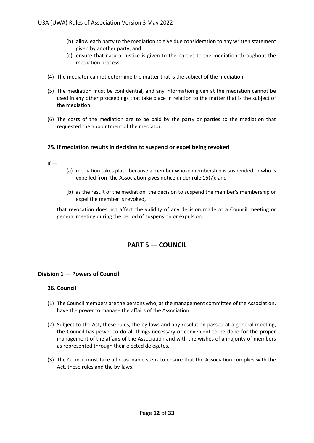- (b) allow each party to the mediation to give due consideration to any written statement given by another party; and
- (c) ensure that natural justice is given to the parties to the mediation throughout the mediation process.
- (4) The mediator cannot determine the matter that is the subject of the mediation.
- (5) The mediation must be confidential, and any information given at the mediation cannot be used in any other proceedings that take place in relation to the matter that is the subject of the mediation.
- (6) The costs of the mediation are to be paid by the party or parties to the mediation that requested the appointment of the mediator.

# **25. If mediation results in decision to suspend or expel being revoked**

 $If -$ 

- (a) mediation takes place because a member whose membership is suspended or who is expelled from the Association gives notice under rule 15(7); and
- (b) as the result of the mediation, the decision to suspend the member's membership or expel the member is revoked,

that revocation does not affect the validity of any decision made at a Council meeting or general meeting during the period of suspension or expulsion.

# **PART 5 — COUNCIL**

# **Division 1 — Powers of Council**

# **26. Council**

- (1) The Council members are the persons who, as the management committee of the Association, have the power to manage the affairs of the Association.
- (2) Subject to the Act, these rules, the by-laws and any resolution passed at a general meeting, the Council has power to do all things necessary or convenient to be done for the proper management of the affairs of the Association and with the wishes of a majority of members as represented through their elected delegates.
- (3) The Council must take all reasonable steps to ensure that the Association complies with the Act, these rules and the by-laws.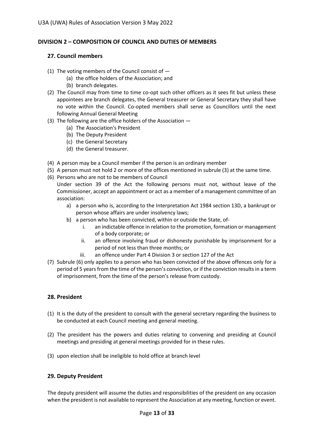# **DIVISION 2 – COMPOSITION OF COUNCIL AND DUTIES OF MEMBERS**

# **27. Council members**

- (1) The voting members of the Council consist of  $-$ 
	- (a) the office holders of the Association; and
	- (b) branch delegates.
- (2) The Council may from time to time co-opt such other officers as it sees fit but unless these appointees are branch delegates, the General treasurer or General Secretary they shall have no vote within the Council. Co-opted members shall serve as Councillors until the next following Annual General Meeting
- (3) The following are the office holders of the Association
	- (a) The Association's President
	- (b) The Deputy President
	- (c) the General Secretary
	- (d) the General treasurer.
- (4) A person may be a Council member if the person is an ordinary member
- (5) A person must not hold 2 or more of the offices mentioned in subrule (3) at the same time.
- (6) Persons who are not to be members of Council
	- Under section 39 of the Act the following persons must not, without leave of the Commissioner, accept an appointment or act as a member of a management committee of an association:
		- a) a person who is, according to the Interpretation Act 1984 section 13D, a bankrupt or person whose affairs are under insolvency laws;
		- b) a person who has been convicted, within or outside the State, of
			- i. an indictable offence in relation to the promotion, formation or management of a body corporate; or
			- ii. an offence involving fraud or dishonesty punishable by imprisonment for a period of not less than three months; or
			- iii. an offence under Part 4 Division 3 or section 127 of the Act
- (7) Subrule (6) only applies to a person who has been convicted of the above offences only for a period of 5 years from the time of the person's conviction, or if the conviction results in a term of imprisonment, from the time of the person's release from custody.

# **28. President**

- (1) It is the duty of the president to consult with the general secretary regarding the business to be conducted at each Council meeting and general meeting.
- (2) The president has the powers and duties relating to convening and presiding at Council meetings and presiding at general meetings provided for in these rules.
- (3) upon election shall be ineligible to hold office at branch level

# **29. Deputy President**

The deputy president will assume the duties and responsibilities of the president on any occasion when the president is not available to represent the Association at any meeting, function or event.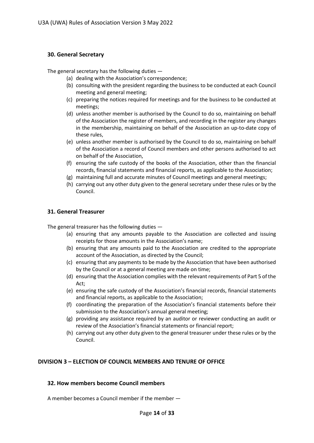# **30. General Secretary**

The general secretary has the following duties —

- (a) dealing with the Association's correspondence;
- (b) consulting with the president regarding the business to be conducted at each Council meeting and general meeting;
- (c) preparing the notices required for meetings and for the business to be conducted at meetings;
- (d) unless another member is authorised by the Council to do so, maintaining on behalf of the Association the register of members, and recording in the register any changes in the membership, maintaining on behalf of the Association an up-to-date copy of these rules,
- (e) unless another member is authorised by the Council to do so, maintaining on behalf of the Association a record of Council members and other persons authorised to act on behalf of the Association,
- (f) ensuring the safe custody of the books of the Association, other than the financial records, financial statements and financial reports, as applicable to the Association;
- (g) maintaining full and accurate minutes of Council meetings and general meetings;
- (h) carrying out any other duty given to the general secretary under these rules or by the Council.

# **31. General Treasurer**

The general treasurer has the following duties —

- (a) ensuring that any amounts payable to the Association are collected and issuing receipts for those amounts in the Association's name;
- (b) ensuring that any amounts paid to the Association are credited to the appropriate account of the Association, as directed by the Council;
- (c) ensuring that any payments to be made by the Association that have been authorised by the Council or at a general meeting are made on time;
- (d) ensuring that the Association complies with the relevant requirements of Part 5 of the Act;
- (e) ensuring the safe custody of the Association's financial records, financial statements and financial reports, as applicable to the Association;
- (f) coordinating the preparation of the Association's financial statements before their submission to the Association's annual general meeting;
- (g) providing any assistance required by an auditor or reviewer conducting an audit or review of the Association's financial statements or financial report;
- (h) carrying out any other duty given to the general treasurer under these rules or by the Council.

# **DIVISION 3 – ELECTION OF COUNCIL MEMBERS AND TENURE OF OFFICE**

# **32. How members become Council members**

A member becomes a Council member if the member —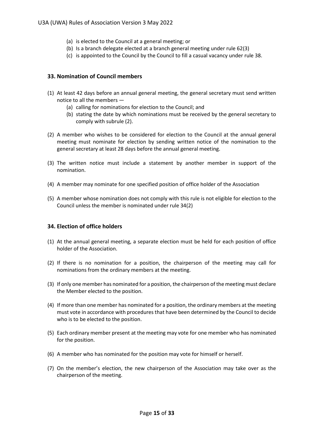- (a) is elected to the Council at a general meeting; or
- (b) Is a branch delegate elected at a branch general meeting under rule 62(3)
- (c) is appointed to the Council by the Council to fill a casual vacancy under rule 38.

# **33. Nomination of Council members**

- (1) At least 42 days before an annual general meeting, the general secretary must send written notice to all the members —
	- (a) calling for nominations for election to the Council; and
	- (b) stating the date by which nominations must be received by the general secretary to comply with subrule (2).
- (2) A member who wishes to be considered for election to the Council at the annual general meeting must nominate for election by sending written notice of the nomination to the general secretary at least 28 days before the annual general meeting.
- (3) The written notice must include a statement by another member in support of the nomination.
- (4) A member may nominate for one specified position of office holder of the Association
- (5) A member whose nomination does not comply with this rule is not eligible for election to the Council unless the member is nominated under rule 34(2)

### **34. Election of office holders**

- (1) At the annual general meeting, a separate election must be held for each position of office holder of the Association.
- (2) If there is no nomination for a position, the chairperson of the meeting may call for nominations from the ordinary members at the meeting.
- (3) If only one member has nominated for a position, the chairperson of the meeting must declare the Member elected to the position.
- (4) If more than one member has nominated for a position, the ordinary members at the meeting must vote in accordance with procedures that have been determined by the Council to decide who is to be elected to the position.
- (5) Each ordinary member present at the meeting may vote for one member who has nominated for the position.
- (6) A member who has nominated for the position may vote for himself or herself.
- (7) On the member's election, the new chairperson of the Association may take over as the chairperson of the meeting.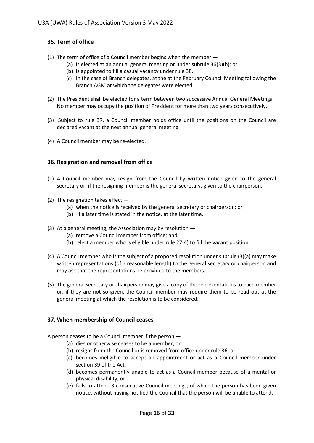# **35. Term of office**

- (1) The term of office of a Council member begins when the member
	- (a) is elected at an annual general meeting or under subrule 36(3)(b); or
	- (b) is appointed to fill a casual vacancy under rule 38.
	- (c) In the case of Branch delegates, at the at the February Council Meeting following the Branch AGM at which the delegates were elected.
- (2) The President shall be elected for a term between two successive Annual General Meetings. No member may occupy the position of President for more than two years consecutively.
- (3) Subject to rule 37, a Council member holds office until the positions on the Council are declared vacant at the next annual general meeting.
- (4) A Council member may be re-elected.

# **36. Resignation and removal from office**

- (1) A Council member may resign from the Council by written notice given to the general secretary or, if the resigning member is the general secretary, given to the chairperson.
- (2) The resignation takes effect  $-$ 
	- (a) when the notice is received by the general secretary or chairperson; or
	- (b) if a later time is stated in the notice, at the later time.
- (3) At a general meeting, the Association may by resolution
	- (a) remove a Council member from office; and
	- (b) elect a member who is eligible under rule 27(4) to fill the vacant position.
- (4) A Council member who is the subject of a proposed resolution under subrule (3)(a) may make written representations (of a reasonable length) to the general secretary or chairperson and may ask that the representations be provided to the members.
- (5) The general secretary or chairperson may give a copy of the representations to each member or, if they are not so given, the Council member may require them to be read out at the general meeting at which the resolution is to be considered.

# **37. When membership of Council ceases**

A person ceases to be a Council member if the person —

- (a) dies or otherwise ceases to be a member; or
- (b) resigns from the Council or is removed from office under rule 36; or
- (c) becomes ineligible to accept an appointment or act as a Council member under section 39 of the Act;
- (d) becomes permanently unable to act as a Council member because of a mental or physical disability; or
- (e) fails to attend 3 consecutive Council meetings, of which the person has been given notice, without having notified the Council that the person will be unable to attend.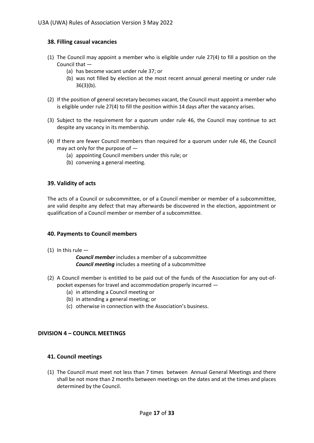# **38. Filling casual vacancies**

- (1) The Council may appoint a member who is eligible under rule 27(4) to fill a position on the Council that —
	- (a) has become vacant under rule 37; or
	- (b) was not filled by election at the most recent annual general meeting or under rule 36(3)(b).
- (2) If the position of general secretary becomes vacant, the Council must appoint a member who is eligible under rule 27(4) to fill the position within 14 days after the vacancy arises.
- (3) Subject to the requirement for a quorum under rule 46, the Council may continue to act despite any vacancy in its membership.
- (4) If there are fewer Council members than required for a quorum under rule 46, the Council may act only for the purpose of —
	- (a) appointing Council members under this rule; or
	- (b) convening a general meeting.

# **39. Validity of acts**

The acts of a Council or subcommittee, or of a Council member or member of a subcommittee, are valid despite any defect that may afterwards be discovered in the election, appointment or qualification of a Council member or member of a subcommittee.

### **40. Payments to Council members**

(1) In this rule  $-$ 

*Council member* includes a member of a subcommittee *Council meeting* includes a meeting of a subcommittee

- (2) A Council member is entitled to be paid out of the funds of the Association for any out-ofpocket expenses for travel and accommodation properly incurred —
	- (a) in attending a Council meeting or
	- (b) in attending a general meeting; or
	- (c) otherwise in connection with the Association's business.

### **DIVISION 4 – COUNCIL MEETINGS**

### **41. Council meetings**

(1) The Council must meet not less than 7 times between Annual General Meetings and there shall be not more than 2 months between meetings on the dates and at the times and places determined by the Council.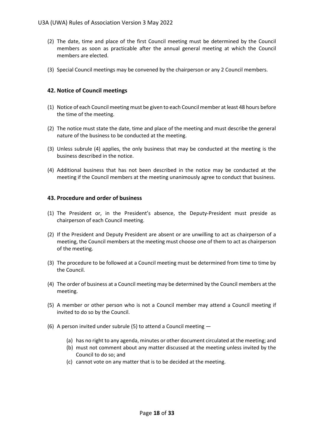- (2) The date, time and place of the first Council meeting must be determined by the Council members as soon as practicable after the annual general meeting at which the Council members are elected.
- (3) Special Council meetings may be convened by the chairperson or any 2 Council members.

# **42. Notice of Council meetings**

- (1) Notice of each Council meeting must be given to each Council member at least 48 hours before the time of the meeting.
- (2) The notice must state the date, time and place of the meeting and must describe the general nature of the business to be conducted at the meeting.
- (3) Unless subrule (4) applies, the only business that may be conducted at the meeting is the business described in the notice.
- (4) Additional business that has not been described in the notice may be conducted at the meeting if the Council members at the meeting unanimously agree to conduct that business.

# **43. Procedure and order of business**

- (1) The President or, in the President's absence, the Deputy-President must preside as chairperson of each Council meeting.
- (2) If the President and Deputy President are absent or are unwilling to act as chairperson of a meeting, the Council members at the meeting must choose one of them to act as chairperson of the meeting.
- (3) The procedure to be followed at a Council meeting must be determined from time to time by the Council.
- (4) The order of business at a Council meeting may be determined by the Council members at the meeting.
- (5) A member or other person who is not a Council member may attend a Council meeting if invited to do so by the Council.
- (6) A person invited under subrule (5) to attend a Council meeting
	- (a) has no right to any agenda, minutes or other document circulated at the meeting; and
	- (b) must not comment about any matter discussed at the meeting unless invited by the Council to do so; and
	- (c) cannot vote on any matter that is to be decided at the meeting.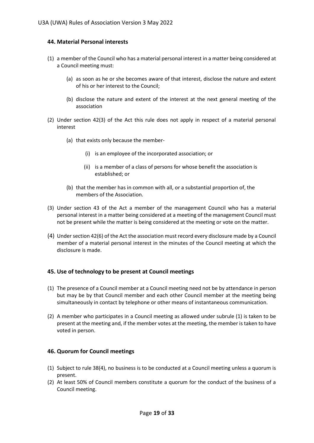# **44. Material Personal interests**

- (1) a member of the Council who has a material personal interest in a matter being considered at a Council meeting must:
	- (a) as soon as he or she becomes aware of that interest, disclose the nature and extent of his or her interest to the Council;
	- (b) disclose the nature and extent of the interest at the next general meeting of the association
- (2) Under section 42(3) of the Act this rule does not apply in respect of a material personal interest
	- (a) that exists only because the member-
		- (i) is an employee of the incorporated association; or
		- (ii) is a member of a class of persons for whose benefit the association is established; or
	- (b) that the member has in common with all, or a substantial proportion of, the members of the Association.
- (3) Under section 43 of the Act a member of the management Council who has a material personal interest in a matter being considered at a meeting of the management Council must not be present while the matter is being considered at the meeting or vote on the matter.
- (4) Under section 42(6) of the Act the association must record every disclosure made by a Council member of a material personal interest in the minutes of the Council meeting at which the disclosure is made.

### **45. Use of technology to be present at Council meetings**

- (1) The presence of a Council member at a Council meeting need not be by attendance in person but may be by that Council member and each other Council member at the meeting being simultaneously in contact by telephone or other means of instantaneous communication.
- (2) A member who participates in a Council meeting as allowed under subrule (1) is taken to be present at the meeting and, if the member votes at the meeting, the member is taken to have voted in person.

### **46. Quorum for Council meetings**

- (1) Subject to rule 38(4), no business is to be conducted at a Council meeting unless a quorum is present.
- (2) At least 50% of Council members constitute a quorum for the conduct of the business of a Council meeting.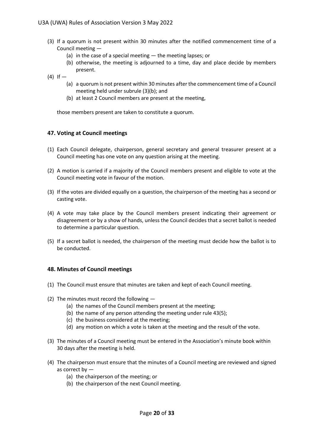- (3) If a quorum is not present within 30 minutes after the notified commencement time of a Council meeting —
	- (a) in the case of a special meeting  $-$  the meeting lapses; or
	- (b) otherwise, the meeting is adjourned to a time, day and place decide by members present.
- $(4)$  If  $-$ 
	- (a) a quorum is not present within 30 minutes after the commencement time of a Council meeting held under subrule (3)(b); and
	- (b) at least 2 Council members are present at the meeting,

those members present are taken to constitute a quorum.

### **47. Voting at Council meetings**

- (1) Each Council delegate, chairperson, general secretary and general treasurer present at a Council meeting has one vote on any question arising at the meeting.
- (2) A motion is carried if a majority of the Council members present and eligible to vote at the Council meeting vote in favour of the motion.
- (3) If the votes are divided equally on a question, the chairperson of the meeting has a second or casting vote.
- (4) A vote may take place by the Council members present indicating their agreement or disagreement or by a show of hands, unless the Council decides that a secret ballot is needed to determine a particular question.
- (5) If a secret ballot is needed, the chairperson of the meeting must decide how the ballot is to be conducted.

### **48. Minutes of Council meetings**

- (1) The Council must ensure that minutes are taken and kept of each Council meeting.
- (2) The minutes must record the following
	- (a) the names of the Council members present at the meeting;
	- (b) the name of any person attending the meeting under rule 43(5);
	- (c) the business considered at the meeting;
	- (d) any motion on which a vote is taken at the meeting and the result of the vote.
- (3) The minutes of a Council meeting must be entered in the Association's minute book within 30 days after the meeting is held.
- (4) The chairperson must ensure that the minutes of a Council meeting are reviewed and signed as correct by —
	- (a) the chairperson of the meeting; or
	- (b) the chairperson of the next Council meeting.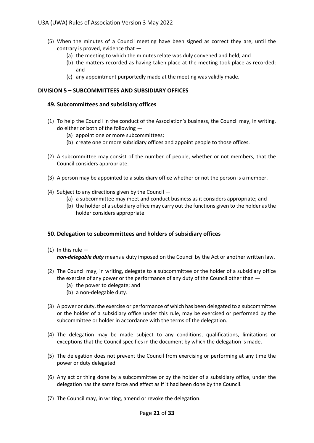- (5) When the minutes of a Council meeting have been signed as correct they are, until the contrary is proved, evidence that —
	- (a) the meeting to which the minutes relate was duly convened and held; and
	- (b) the matters recorded as having taken place at the meeting took place as recorded; and
	- (c) any appointment purportedly made at the meeting was validly made.

# **DIVISION 5 – SUBCOMMITTEES AND SUBSIDIARY OFFICES**

### **49. Subcommittees and subs**i**diary offices**

- (1) To help the Council in the conduct of the Association's business, the Council may, in writing, do either or both of the following —
	- (a) appoint one or more subcommittees;
	- (b) create one or more subsidiary offices and appoint people to those offices.
- (2) A subcommittee may consist of the number of people, whether or not members, that the Council considers appropriate.
- (3) A person may be appointed to a subsidiary office whether or not the person is a member.
- (4) Subject to any directions given by the Council
	- (a) a subcommittee may meet and conduct business as it considers appropriate; and
	- (b) the holder of a subsidiary office may carry out the functions given to the holder as the holder considers appropriate.

### **50. Delegation to subcommittees and holders of subsidiary offices**

- (1) In this rule  $$ *non-delegable duty* means a duty imposed on the Council by the Act or another written law.
- (2) The Council may, in writing, delegate to a subcommittee or the holder of a subsidiary office the exercise of any power or the performance of any duty of the Council other than —
	- (a) the power to delegate; and
	- (b) a non-delegable duty.
- (3) A power or duty, the exercise or performance of which has been delegated to a subcommittee or the holder of a subsidiary office under this rule, may be exercised or performed by the subcommittee or holder in accordance with the terms of the delegation.
- (4) The delegation may be made subject to any conditions, qualifications, limitations or exceptions that the Council specifies in the document by which the delegation is made.
- (5) The delegation does not prevent the Council from exercising or performing at any time the power or duty delegated.
- (6) Any act or thing done by a subcommittee or by the holder of a subsidiary office, under the delegation has the same force and effect as if it had been done by the Council.
- (7) The Council may, in writing, amend or revoke the delegation.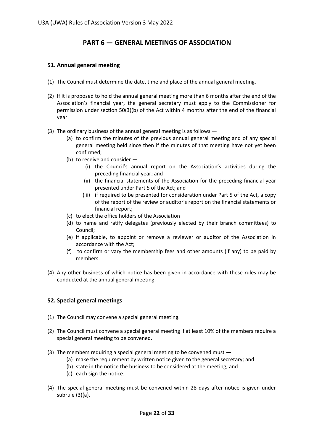# **PART 6 — GENERAL MEETINGS OF ASSOCIATION**

# **51. Annual general meeting**

- (1) The Council must determine the date, time and place of the annual general meeting.
- (2) If it is proposed to hold the annual general meeting more than 6 months after the end of the Association's financial year, the general secretary must apply to the Commissioner for permission under section 50(3)(b) of the Act within 4 months after the end of the financial year.
- (3) The ordinary business of the annual general meeting is as follows
	- (a) to confirm the minutes of the previous annual general meeting and of any special general meeting held since then if the minutes of that meeting have not yet been confirmed;
	- (b) to receive and consider
		- (i) the Council's annual report on the Association's activities during the preceding financial year; and
		- (ii) the financial statements of the Association for the preceding financial year presented under Part 5 of the Act; and
		- (iii) if required to be presented for consideration under Part 5 of the Act, a copy of the report of the review or auditor's report on the financial statements or financial report;
	- (c) to elect the office holders of the Association
	- (d) to name and ratify delegates (previously elected by their branch committees) to Council;
	- (e) if applicable, to appoint or remove a reviewer or auditor of the Association in accordance with the Act;
	- (f) to confirm or vary the membership fees and other amounts (if any) to be paid by members.
- (4) Any other business of which notice has been given in accordance with these rules may be conducted at the annual general meeting.

# **52. Special general meetings**

- (1) The Council may convene a special general meeting.
- (2) The Council must convene a special general meeting if at least 10% of the members require a special general meeting to be convened.
- (3) The members requiring a special general meeting to be convened must
	- (a) make the requirement by written notice given to the general secretary; and
	- (b) state in the notice the business to be considered at the meeting; and
	- (c) each sign the notice.
- (4) The special general meeting must be convened within 28 days after notice is given under subrule (3)(a).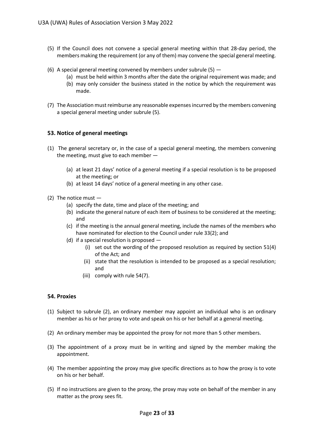- (5) If the Council does not convene a special general meeting within that 28-day period, the members making the requirement (or any of them) may convene the special general meeting.
- (6) A special general meeting convened by members under subrule  $(5)$  -
	- (a) must be held within 3 months after the date the original requirement was made; and
	- (b) may only consider the business stated in the notice by which the requirement was made.
- (7) The Association must reimburse any reasonable expenses incurred by the members convening a special general meeting under subrule (5).

# **53. Notice of general meetings**

- (1) The general secretary or, in the case of a special general meeting, the members convening the meeting, must give to each member —
	- (a) at least 21 days' notice of a general meeting if a special resolution is to be proposed at the meeting; or
	- (b) at least 14 days' notice of a general meeting in any other case.
- (2) The notice must
	- (a) specify the date, time and place of the meeting; and
	- (b) indicate the general nature of each item of business to be considered at the meeting; and
	- (c) if the meeting is the annual general meeting, include the names of the members who have nominated for election to the Council under rule 33(2); and
	- (d) if a special resolution is proposed
		- (i) set out the wording of the proposed resolution as required by section 51(4) of the Act; and
		- (ii) state that the resolution is intended to be proposed as a special resolution; and
		- (iii) comply with rule 54(7).

### **54. Proxies**

- (1) Subject to subrule (2), an ordinary member may appoint an individual who is an ordinary member as his or her proxy to vote and speak on his or her behalf at a general meeting.
- (2) An ordinary member may be appointed the proxy for not more than 5 other members.
- (3) The appointment of a proxy must be in writing and signed by the member making the appointment.
- (4) The member appointing the proxy may give specific directions as to how the proxy is to vote on his or her behalf.
- (5) If no instructions are given to the proxy, the proxy may vote on behalf of the member in any matter as the proxy sees fit.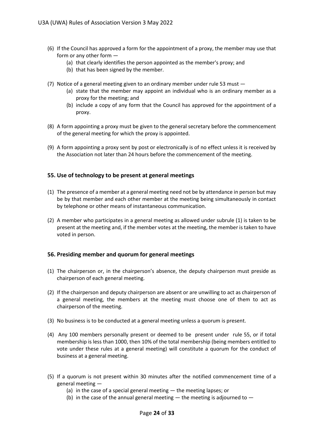- (6) If the Council has approved a form for the appointment of a proxy, the member may use that form or any other form —
	- (a) that clearly identifies the person appointed as the member's proxy; and
	- (b) that has been signed by the member.
- (7) Notice of a general meeting given to an ordinary member under rule 53 must
	- (a) state that the member may appoint an individual who is an ordinary member as a proxy for the meeting; and
	- (b) include a copy of any form that the Council has approved for the appointment of a proxy.
- (8) A form appointing a proxy must be given to the general secretary before the commencement of the general meeting for which the proxy is appointed.
- (9) A form appointing a proxy sent by post or electronically is of no effect unless it is received by the Association not later than 24 hours before the commencement of the meeting.

# **55. Use of technology to be present at general meetings**

- (1) The presence of a member at a general meeting need not be by attendance in person but may be by that member and each other member at the meeting being simultaneously in contact by telephone or other means of instantaneous communication.
- (2) A member who participates in a general meeting as allowed under subrule (1) is taken to be present at the meeting and, if the member votes at the meeting, the member is taken to have voted in person.

### **56. Presiding member and quorum for general meetings**

- (1) The chairperson or, in the chairperson's absence, the deputy chairperson must preside as chairperson of each general meeting.
- (2) If the chairperson and deputy chairperson are absent or are unwilling to act as chairperson of a general meeting, the members at the meeting must choose one of them to act as chairperson of the meeting.
- (3) No business is to be conducted at a general meeting unless a quorum is present.
- (4) Any 100 members personally present or deemed to be present under rule 55, or if total membership is less than 1000, then 10% of the total membership (being members entitled to vote under these rules at a general meeting) will constitute a quorum for the conduct of business at a general meeting.
- (5) If a quorum is not present within 30 minutes after the notified commencement time of a general meeting —
	- (a) in the case of a special general meeting the meeting lapses; or
	- (b) in the case of the annual general meeting  $-$  the meeting is adjourned to  $-$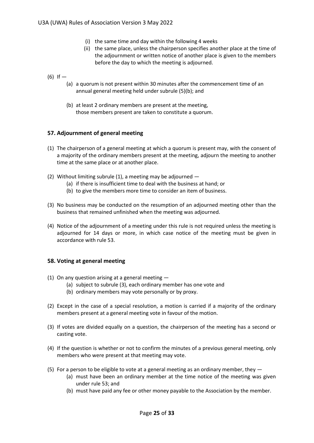- (i) the same time and day within the following 4 weeks
- (ii) the same place, unless the chairperson specifies another place at the time of the adjournment or written notice of another place is given to the members before the day to which the meeting is adjourned.
- $(6)$  If  $-$ 
	- (a) a quorum is not present within 30 minutes after the commencement time of an annual general meeting held under subrule (5)(b); and
	- (b) at least 2 ordinary members are present at the meeting, those members present are taken to constitute a quorum.

# **57. Adjournment of general meeting**

- (1) The chairperson of a general meeting at which a quorum is present may, with the consent of a majority of the ordinary members present at the meeting, adjourn the meeting to another time at the same place or at another place.
- (2) Without limiting subrule (1), a meeting may be adjourned  $-$ 
	- (a) if there is insufficient time to deal with the business at hand; or
	- (b) to give the members more time to consider an item of business.
- (3) No business may be conducted on the resumption of an adjourned meeting other than the business that remained unfinished when the meeting was adjourned.
- (4) Notice of the adjournment of a meeting under this rule is not required unless the meeting is adjourned for 14 days or more, in which case notice of the meeting must be given in accordance with rule 53.

# **58. Voting at general meeting**

- (1) On any question arising at a general meeting
	- (a) subject to subrule (3), each ordinary member has one vote and
	- (b) ordinary members may vote personally or by proxy.
- (2) Except in the case of a special resolution, a motion is carried if a majority of the ordinary members present at a general meeting vote in favour of the motion.
- (3) If votes are divided equally on a question, the chairperson of the meeting has a second or casting vote.
- (4) If the question is whether or not to confirm the minutes of a previous general meeting, only members who were present at that meeting may vote.
- (5) For a person to be eligible to vote at a general meeting as an ordinary member, they  $-$ 
	- (a) must have been an ordinary member at the time notice of the meeting was given under rule 53; and
	- (b) must have paid any fee or other money payable to the Association by the member.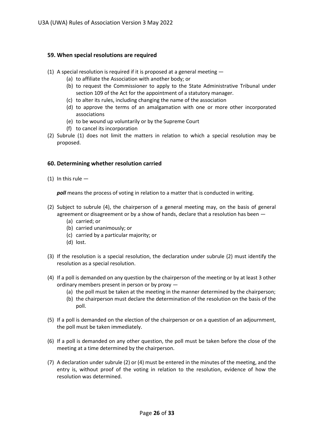# **59. When special resolutions are required**

- (1) A special resolution is required if it is proposed at a general meeting
	- (a) to affiliate the Association with another body; or
	- (b) to request the Commissioner to apply to the State Administrative Tribunal under section 109 of the Act for the appointment of a statutory manager.
	- (c) to alter its rules, including changing the name of the association
	- (d) to approve the terms of an amalgamation with one or more other incorporated associations
	- (e) to be wound up voluntarily or by the Supreme Court
	- (f) to cancel its incorporation
- (2) Subrule (1) does not limit the matters in relation to which a special resolution may be proposed.

# **60. Determining whether resolution carried**

(1) In this rule  $-$ 

*poll* means the process of voting in relation to a matter that is conducted in writing.

- (2) Subject to subrule (4), the chairperson of a general meeting may, on the basis of general agreement or disagreement or by a show of hands, declare that a resolution has been —
	- (a) carried; or
	- (b) carried unanimously; or
	- (c) carried by a particular majority; or
	- (d) lost.
- (3) If the resolution is a special resolution, the declaration under subrule (2) must identify the resolution as a special resolution.
- (4) If a poll is demanded on any question by the chairperson of the meeting or by at least 3 other ordinary members present in person or by proxy —
	- (a) the poll must be taken at the meeting in the manner determined by the chairperson;
	- (b) the chairperson must declare the determination of the resolution on the basis of the poll.
- (5) If a poll is demanded on the election of the chairperson or on a question of an adjournment, the poll must be taken immediately.
- (6) If a poll is demanded on any other question, the poll must be taken before the close of the meeting at a time determined by the chairperson.
- (7) A declaration under subrule (2) or (4) must be entered in the minutes of the meeting, and the entry is, without proof of the voting in relation to the resolution, evidence of how the resolution was determined.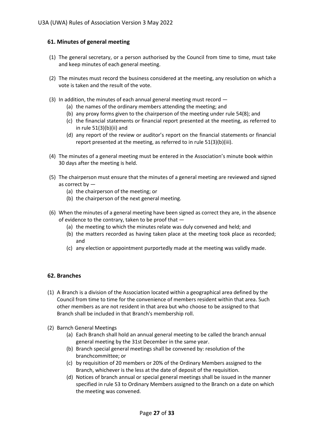# **61. Minutes of general meeting**

- (1) The general secretary, or a person authorised by the Council from time to time, must take and keep minutes of each general meeting.
- (2) The minutes must record the business considered at the meeting, any resolution on which a vote is taken and the result of the vote.
- (3) In addition, the minutes of each annual general meeting must record
	- (a) the names of the ordinary members attending the meeting; and
	- (b) any proxy forms given to the chairperson of the meeting under rule 54(8); and
	- (c) the financial statements or financial report presented at the meeting, as referred to in rule  $51(3)(b)(ii)$  and
	- (d) any report of the review or auditor's report on the financial statements or financial report presented at the meeting, as referred to in rule 51(3)(b)(iii).
- (4) The minutes of a general meeting must be entered in the Association's minute book within 30 days after the meeting is held.
- (5) The chairperson must ensure that the minutes of a general meeting are reviewed and signed as correct by —
	- (a) the chairperson of the meeting; or
	- (b) the chairperson of the next general meeting.
- (6) When the minutes of a general meeting have been signed as correct they are, in the absence of evidence to the contrary, taken to be proof that —
	- (a) the meeting to which the minutes relate was duly convened and held; and
	- (b) the matters recorded as having taken place at the meeting took place as recorded; and
	- (c) any election or appointment purportedly made at the meeting was validly made.

# **62. Branches**

- (1) A Branch is a division of the Association located within a geographical area defined by the Council from time to time for the convenience of members resident within that area. Such other members as are not resident in that area but who choose to be assigned to that Branch shall be included in that Branch's membership roll.
- (2) Barnch General Meetings
	- (a) Each Branch shall hold an annual general meeting to be called the branch annual general meeting by the 31st December in the same year.
	- (b) Branch special general meetings shall be convened by: resolution of the branchcommittee; or
	- (c) by requisition of 20 members or 20% of the Ordinary Members assigned to the Branch, whichever is the less at the date of deposit of the requisition.
	- (d) Notices of branch annual or special general meetings shall be issued in the manner specified in rule 53 to Ordinary Members assigned to the Branch on a date on which the meeting was convened.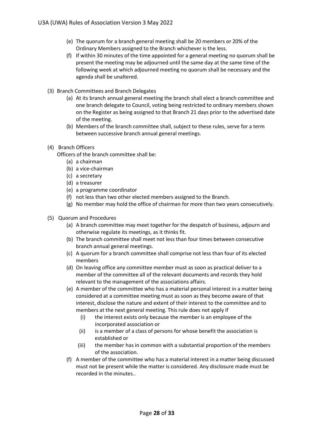- (e) The quorum for a branch general meeting shall be 20 members or 20% of the Ordinary Members assigned to the Branch whichever is the less.
- (f) If within 30 minutes of the time appointed for a general meeting no quorum shall be present the meeting may be adjourned until the same day at the same time of the following week at which adjourned meeting no quorum shall be necessary and the agenda shall be unaltered.
- (3) Branch Committees and Branch Delegates
	- (a) At its branch annual general meeting the branch shall elect a branch committee and one branch delegate to Council, voting being restricted to ordinary members shown on the Register as being assigned to that Branch 21 days prior to the advertised date of the meeting.
	- (b) Members of the branch committee shall, subject to these rules, serve for a term between successive branch annual general meetings.
- (4) Branch Officers
	- Officers of the branch committee shall be:
		- (a) a chairman
		- (b) a vice-chairman
		- (c) a secretary
		- (d) a treasurer
		- (e) a programme coordinator
		- (f) not less than two other elected members assigned to the Branch.
		- (g) No member may hold the office of chairman for more than two years consecutively.
- (5) Quorum and Procedures
	- (a) A branch committee may meet together for the despatch of business, adjourn and otherwise regulate its meetings, as it thinks fit.
	- (b) The branch committee shall meet not less than four times between consecutive branch annual general meetings.
	- (c) A quorum for a branch committee shall comprise not less than four of its elected members
	- (d) On leaving office any committee member must as soon as practical deliver to a member of the committee all of the relevant documents and records they hold relevant to the management of the associations affairs.
	- (e) A member of the committee who has a material personal interest in a matter being considered at a committee meeting must as soon as they become aware of that interest, disclose the nature and extent of their interest to the committee and to members at the next general meeting. This rule does not apply if
		- (i) the interest exists only because the member is an employee of the incorporated association or
		- (ii) is a member of a class of persons for whose benefit the association is established or
		- (iii) the member has in common with a substantial proportion of the members of the association.
	- (f) A member of the committee who has a material interest in a matter being discussed must not be present while the matter is considered. Any disclosure made must be recorded in the minutes..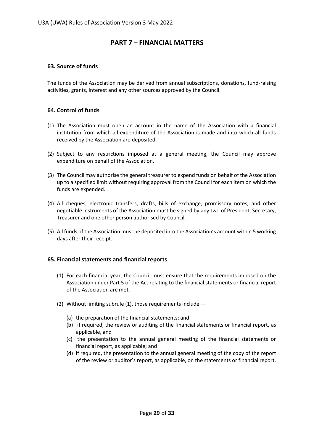# **PART 7 – FINANCIAL MATTERS**

# **63. Source of funds**

The funds of the Association may be derived from annual subscriptions, donations, fund-raising activities, grants, interest and any other sources approved by the Council.

# **64. Control of funds**

- (1) The Association must open an account in the name of the Association with a financial institution from which all expenditure of the Association is made and into which all funds received by the Association are deposited.
- (2) Subject to any restrictions imposed at a general meeting, the Council may approve expenditure on behalf of the Association.
- (3) The Council may authorise the general treasurer to expend funds on behalf of the Association up to a specified limit without requiring approval from the Council for each item on which the funds are expended.
- (4) All cheques, electronic transfers, drafts, bills of exchange, promissory notes, and other negotiable instruments of the Association must be signed by any two of President, Secretary, Treasurer and one other person authorised by Council.
- (5) All funds of the Association must be deposited into the Association's account within 5 working days after their receipt.

# **65. Financial statements and financial reports**

- (1) For each financial year, the Council must ensure that the requirements imposed on the Association under Part 5 of the Act relating to the financial statements or financial report of the Association are met.
- (2) Without limiting subrule (1), those requirements include  $-$ 
	- (a) the preparation of the financial statements; and
	- (b) if required, the review or auditing of the financial statements or financial report, as applicable, and
	- (c) the presentation to the annual general meeting of the financial statements or financial report, as applicable; and
	- (d) if required, the presentation to the annual general meeting of the copy of the report of the review or auditor's report, as applicable, on the statements or financial report.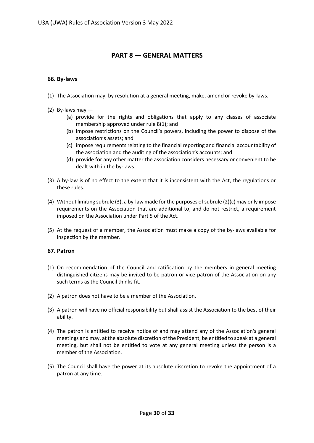# **PART 8 — GENERAL MATTERS**

# **66. By-laws**

- (1) The Association may, by resolution at a general meeting, make, amend or revoke by-laws.
- (2) By-laws may
	- (a) provide for the rights and obligations that apply to any classes of associate membership approved under rule 8(1); and
	- (b) impose restrictions on the Council's powers, including the power to dispose of the association's assets; and
	- (c) impose requirements relating to the financial reporting and financial accountability of the association and the auditing of the association's accounts; and
	- (d) provide for any other matter the association considers necessary or convenient to be dealt with in the by-laws.
- (3) A by-law is of no effect to the extent that it is inconsistent with the Act, the regulations or these rules.
- (4) Without limiting subrule (3), a by-law made for the purposes of subrule (2)(c) may only impose requirements on the Association that are additional to, and do not restrict, a requirement imposed on the Association under Part 5 of the Act.
- (5) At the request of a member, the Association must make a copy of the by-laws available for inspection by the member.

# **67. Patron**

- (1) On recommendation of the Council and ratification by the members in general meeting distinguished citizens may be invited to be patron or vice-patron of the Association on any such terms as the Council thinks fit.
- (2) A patron does not have to be a member of the Association.
- (3) A patron will have no official responsibility but shall assist the Association to the best of their ability.
- (4) The patron is entitled to receive notice of and may attend any of the Association's general meetings and may, at the absolute discretion of the President, be entitled to speak at a general meeting, but shall not be entitled to vote at any general meeting unless the person is a member of the Association.
- (5) The Council shall have the power at its absolute discretion to revoke the appointment of a patron at any time.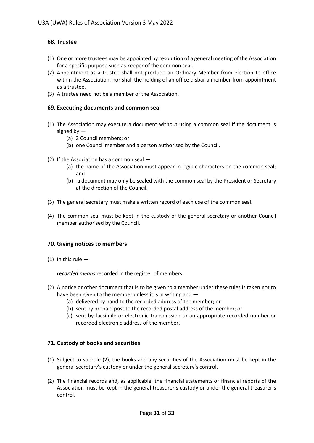# **68. Trustee**

- (1) One or more trustees may be appointed by resolution of a general meeting of the Association for a specific purpose such as keeper of the common seal.
- (2) Appointment as a trustee shall not preclude an Ordinary Member from election to office within the Association, nor shall the holding of an office disbar a member from appointment as a trustee.
- (3) A trustee need not be a member of the Association.

# **69. Executing documents and common seal**

- (1) The Association may execute a document without using a common seal if the document is signed by —
	- (a) 2 Council members; or
	- (b) one Council member and a person authorised by the Council.
- (2) If the Association has a common seal
	- (a) the name of the Association must appear in legible characters on the common seal; and
	- (b) a document may only be sealed with the common seal by the President or Secretary at the direction of the Council.
- (3) The general secretary must make a written record of each use of the common seal.
- (4) The common seal must be kept in the custody of the general secretary or another Council member authorised by the Council.

# **70. Giving notices to members**

 $(1)$  In this rule  $-$ 

*recorded means* recorded in the register of members.

- (2) A notice or other document that is to be given to a member under these rules is taken not to have been given to the member unless it is in writing and —
	- (a) delivered by hand to the recorded address of the member; or
	- (b) sent by prepaid post to the recorded postal address of the member; or
	- (c) sent by facsimile or electronic transmission to an appropriate recorded number or recorded electronic address of the member.

# **71. Custody of books and securities**

- (1) Subject to subrule (2), the books and any securities of the Association must be kept in the general secretary's custody or under the general secretary's control.
- (2) The financial records and, as applicable, the financial statements or financial reports of the Association must be kept in the general treasurer's custody or under the general treasurer's control.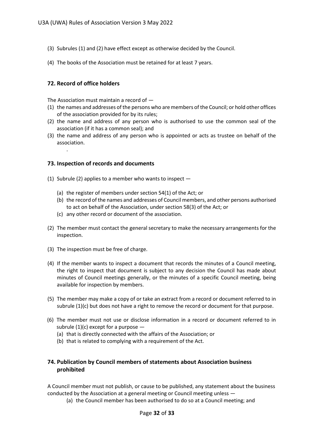- (3) Subrules (1) and (2) have effect except as otherwise decided by the Council.
- (4) The books of the Association must be retained for at least 7 years.

# **72. Record of office holders**

.

The Association must maintain a record of *—*

- (1) the names and addresses of the persons who are members of the Council; or hold other offices of the association provided for by its rules;
- (2) the name and address of any person who is authorised to use the common seal of the association (if it has a common seal); and
- (3) the name and address of any person who is appointed or acts as trustee on behalf of the association.

# **73. Inspection of records and documents**

- (1) Subrule (2) applies to a member who wants to inspect
	- (a) the register of members under section 54(1) of the Act; or
	- (b) the record of the names and addresses of Council members, and other persons authorised to act on behalf of the Association, under section 58(3) of the Act; or
	- (c) any other record or document of the association.
- (2) The member must contact the general secretary to make the necessary arrangements for the inspection.
- (3) The inspection must be free of charge.
- (4) If the member wants to inspect a document that records the minutes of a Council meeting, the right to inspect that document is subject to any decision the Council has made about minutes of Council meetings generally, or the minutes of a specific Council meeting, being available for inspection by members.
- (5) The member may make a copy of or take an extract from a record or document referred to in subrule (1)(c) but does not have a right to remove the record or document for that purpose.
- (6) The member must not use or disclose information in a record or document referred to in subrule  $(1)(c)$  except for a purpose  $-$ 
	- (a) that is directly connected with the affairs of the Association; or
	- (b) that is related to complying with a requirement of the Act.

# **74. Publication by Council members of statements about Association business prohibited**

A Council member must not publish, or cause to be published, any statement about the business conducted by the Association at a general meeting or Council meeting unless —

(a) the Council member has been authorised to do so at a Council meeting; and